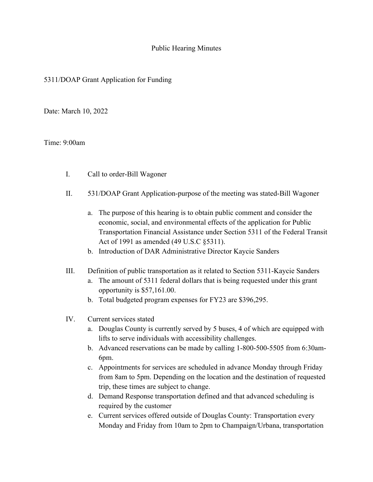## Public Hearing Minutes

## 5311/DOAP Grant Application for Funding

Date: March 10, 2022

## Time: 9:00am

- I. Call to order-Bill Wagoner
- II. 531/DOAP Grant Application-purpose of the meeting was stated-Bill Wagoner
	- a. The purpose of this hearing is to obtain public comment and consider the economic, social, and environmental effects of the application for Public Transportation Financial Assistance under Section 5311 of the Federal Transit Act of 1991 as amended (49 U.S.C §5311).
	- b. Introduction of DAR Administrative Director Kaycie Sanders
- III. Definition of public transportation as it related to Section 5311-Kaycie Sanders
	- a. The amount of 5311 federal dollars that is being requested under this grant opportunity is \$57,161.00.
	- b. Total budgeted program expenses for FY23 are \$396,295.
- IV. Current services stated
	- a. Douglas County is currently served by 5 buses, 4 of which are equipped with lifts to serve individuals with accessibility challenges.
	- b. Advanced reservations can be made by calling 1-800-500-5505 from 6:30am-6pm.
	- c. Appointments for services are scheduled in advance Monday through Friday from 8am to 5pm. Depending on the location and the destination of requested trip, these times are subject to change.
	- d. Demand Response transportation defined and that advanced scheduling is required by the customer
	- e. Current services offered outside of Douglas County: Transportation every Monday and Friday from 10am to 2pm to Champaign/Urbana, transportation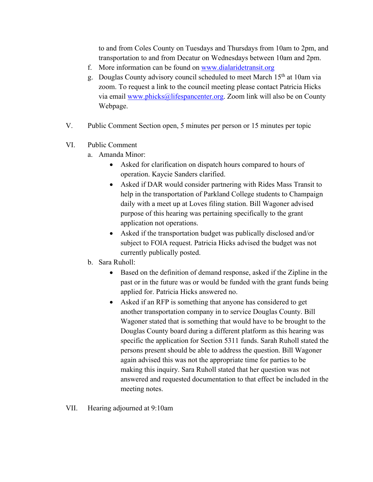to and from Coles County on Tuesdays and Thursdays from 10am to 2pm, and transportation to and from Decatur on Wednesdays between 10am and 2pm.

- f. More information can be found on [www.dialaridetransit.org](http://www.dialaridetransit.org/)
- g. Douglas County advisory council scheduled to meet March 15th at 10am via zoom. To request a link to the council meeting please contact Patricia Hicks via email [www.phicks@lifespancenter.org.](http://www.phicks@lifespancenter.org/) Zoom link will also be on County Webpage.
- V. Public Comment Section open, 5 minutes per person or 15 minutes per topic
- VI. Public Comment
	- a. Amanda Minor:
		- Asked for clarification on dispatch hours compared to hours of operation. Kaycie Sanders clarified.
		- Asked if DAR would consider partnering with Rides Mass Transit to help in the transportation of Parkland College students to Champaign daily with a meet up at Loves filing station. Bill Wagoner advised purpose of this hearing was pertaining specifically to the grant application not operations.
		- Asked if the transportation budget was publically disclosed and/or subject to FOIA request. Patricia Hicks advised the budget was not currently publically posted.
	- b. Sara Ruholl:
		- Based on the definition of demand response, asked if the Zipline in the past or in the future was or would be funded with the grant funds being applied for. Patricia Hicks answered no.
		- Asked if an RFP is something that anyone has considered to get another transportation company in to service Douglas County. Bill Wagoner stated that is something that would have to be brought to the Douglas County board during a different platform as this hearing was specific the application for Section 5311 funds. Sarah Ruholl stated the persons present should be able to address the question. Bill Wagoner again advised this was not the appropriate time for parties to be making this inquiry. Sara Ruholl stated that her question was not answered and requested documentation to that effect be included in the meeting notes.
- VII. Hearing adjourned at 9:10am